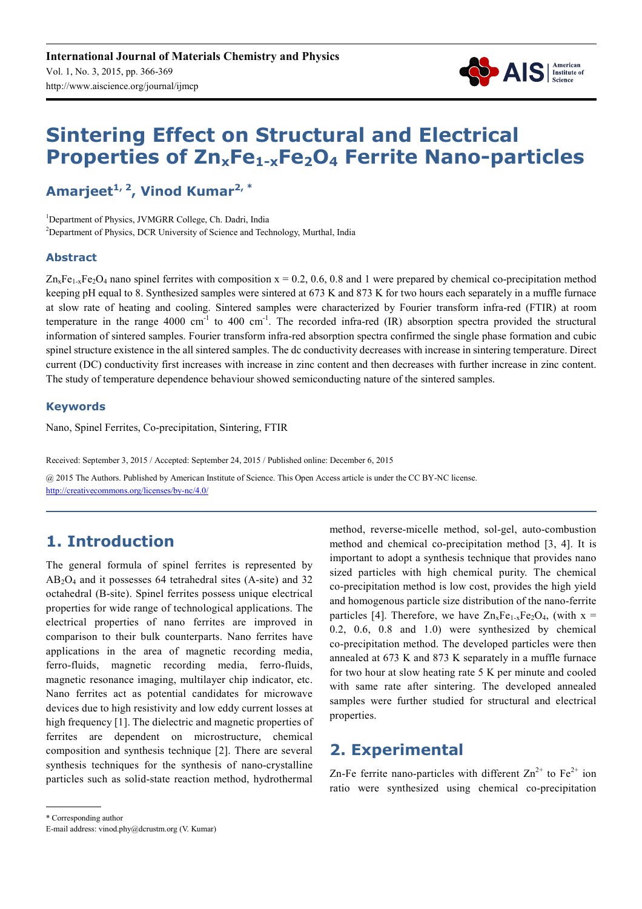

# **Sintering Effect on Structural and Electrical Properties of ZnxFe1-xFe2O4 Ferrite Nano-particles**

**Amarjeet1, 2, Vinod Kumar2, \***

<sup>1</sup>Department of Physics, JVMGRR College, Ch. Dadri, India <sup>2</sup>Department of Physics, DCR University of Science and Technology, Murthal, India

#### **Abstract**

 $Zn_xFe_{1-x}Fe_2O_4$  nano spinel ferrites with composition  $x = 0.2, 0.6, 0.8$  and 1 were prepared by chemical co-precipitation method keeping pH equal to 8. Synthesized samples were sintered at 673 K and 873 K for two hours each separately in a muffle furnace at slow rate of heating and cooling. Sintered samples were characterized by Fourier transform infra-red (FTIR) at room temperature in the range  $4000 \text{ cm}^{-1}$  to  $400 \text{ cm}^{-1}$ . The recorded infra-red (IR) absorption spectra provided the structural information of sintered samples. Fourier transform infra-red absorption spectra confirmed the single phase formation and cubic spinel structure existence in the all sintered samples. The dc conductivity decreases with increase in sintering temperature. Direct current (DC) conductivity first increases with increase in zinc content and then decreases with further increase in zinc content. The study of temperature dependence behaviour showed semiconducting nature of the sintered samples.

#### **Keywords**

Nano, Spinel Ferrites, Co-precipitation, Sintering, FTIR

Received: September 3, 2015 / Accepted: September 24, 2015 / Published online: December 6, 2015 @ 2015 The Authors. Published by American Institute of Science. This Open Access article is under the CC BY-NC license. http://creativecommons.org/licenses/by-nc/4.0/

# **1. Introduction**

The general formula of spinel ferrites is represented by AB2O4 and it possesses 64 tetrahedral sites (A-site) and 32 octahedral (B-site). Spinel ferrites possess unique electrical properties for wide range of technological applications. The electrical properties of nano ferrites are improved in comparison to their bulk counterparts. Nano ferrites have applications in the area of magnetic recording media, ferro-fluids, magnetic recording media, ferro-fluids, magnetic resonance imaging, multilayer chip indicator, etc. Nano ferrites act as potential candidates for microwave devices due to high resistivity and low eddy current losses at high frequency [1]. The dielectric and magnetic properties of ferrites are dependent on microstructure, chemical composition and synthesis technique [2]. There are several synthesis techniques for the synthesis of nano-crystalline particles such as solid-state reaction method, hydrothermal method, reverse-micelle method, sol-gel, auto-combustion method and chemical co-precipitation method [3, 4]. It is important to adopt a synthesis technique that provides nano sized particles with high chemical purity. The chemical co-precipitation method is low cost, provides the high yield and homogenous particle size distribution of the nano-ferrite particles [4]. Therefore, we have  $Zn_xFe_{1-x}Fe_2O_4$ , (with  $x =$ 0.2, 0.6, 0.8 and 1.0) were synthesized by chemical co-precipitation method. The developed particles were then annealed at 673 K and 873 K separately in a muffle furnace for two hour at slow heating rate 5 K per minute and cooled with same rate after sintering. The developed annealed samples were further studied for structural and electrical properties.

# **2. Experimental**

Zn-Fe ferrite nano-particles with different  $\text{Zn}^{2+}$  to  $\text{Fe}^{2+}$  ion ratio were synthesized using chemical co-precipitation

<sup>\*</sup> Corresponding author

E-mail address: vinod.phy@dcrustm.org (V. Kumar)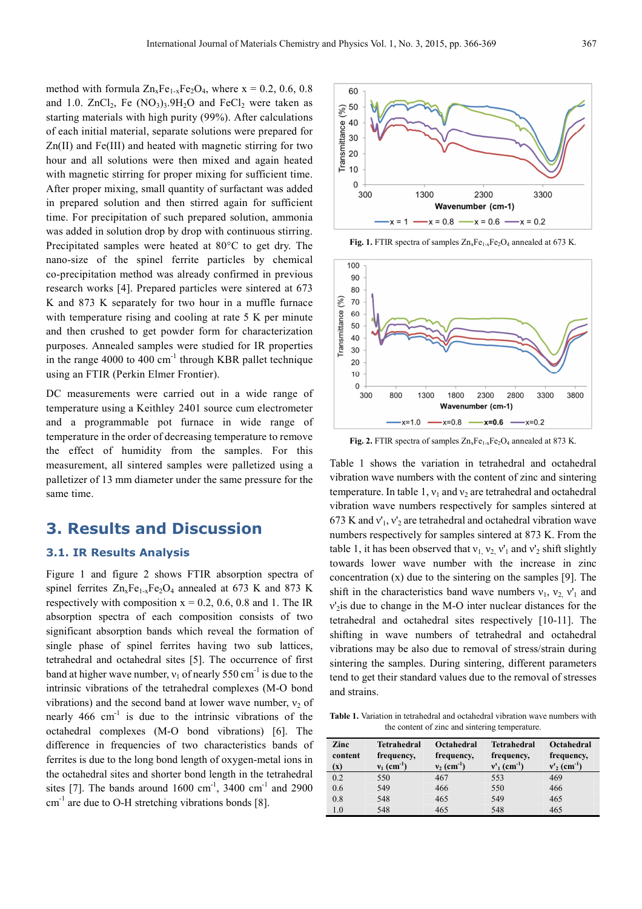method with formula  $Zn_xFe_{1-x}Fe_2O_4$ , where  $x = 0.2, 0.6, 0.8$ and 1.0.  $ZnCl<sub>2</sub>$ , Fe  $(NO<sub>3</sub>)<sub>3</sub>$ .  $9H<sub>2</sub>O$  and FeCl<sub>2</sub> were taken as starting materials with high purity (99%). After calculations of each initial material, separate solutions were prepared for Zn(II) and Fe(III) and heated with magnetic stirring for two hour and all solutions were then mixed and again heated with magnetic stirring for proper mixing for sufficient time. After proper mixing, small quantity of surfactant was added in prepared solution and then stirred again for sufficient time. For precipitation of such prepared solution, ammonia was added in solution drop by drop with continuous stirring. Precipitated samples were heated at 80°C to get dry. The nano-size of the spinel ferrite particles by chemical co-precipitation method was already confirmed in previous research works [4]. Prepared particles were sintered at 673 K and 873 K separately for two hour in a muffle furnace with temperature rising and cooling at rate 5 K per minute and then crushed to get powder form for characterization purposes. Annealed samples were studied for IR properties in the range 4000 to 400  $\text{cm}^{-1}$  through KBR pallet technique using an FTIR (Perkin Elmer Frontier).

DC measurements were carried out in a wide range of temperature using a Keithley 2401 source cum electrometer and a programmable pot furnace in wide range of temperature in the order of decreasing temperature to remove the effect of humidity from the samples. For this measurement, all sintered samples were palletized using a palletizer of 13 mm diameter under the same pressure for the same time.

### **3. Results and Discussion**

#### **3.1. IR Results Analysis**

Figure 1 and figure 2 shows FTIR absorption spectra of spinel ferrites  $Zn_xFe_{1-x}Fe_2O_4$  annealed at 673 K and 873 K respectively with composition  $x = 0.2$ , 0.6, 0.8 and 1. The IR absorption spectra of each composition consists of two significant absorption bands which reveal the formation of single phase of spinel ferrites having two sub lattices, tetrahedral and octahedral sites [5]. The occurrence of first band at higher wave number,  $v_1$  of nearly 550 cm<sup>-1</sup> is due to the intrinsic vibrations of the tetrahedral complexes (M-O bond vibrations) and the second band at lower wave number,  $v_2$  of nearly  $466 \text{ cm}^{-1}$  is due to the intrinsic vibrations of the octahedral complexes (M-O bond vibrations) [6]. The difference in frequencies of two characteristics bands of ferrites is due to the long bond length of oxygen-metal ions in the octahedral sites and shorter bond length in the tetrahedral sites [7]. The bands around  $1600 \text{ cm}^{-1}$ , 3400 cm<sup>-1</sup> and 2900  $cm^{-1}$  are due to O-H stretching vibrations bonds [8].



Fig. 1. FTIR spectra of samples  $Zn_xFe_{1-x}Fe_2O_4$  annealed at 673 K.



Fig. 2. FTIR spectra of samples  $Zn_xFe_{1-x}Fe_2O_4$  annealed at 873 K.

Table 1 shows the variation in tetrahedral and octahedral vibration wave numbers with the content of zinc and sintering temperature. In table 1,  $v_1$  and  $v_2$  are tetrahedral and octahedral vibration wave numbers respectively for samples sintered at 673 K and  $v_1$ ,  $v_2$  are tetrahedral and octahedral vibration wave numbers respectively for samples sintered at 873 K. From the table 1, it has been observed that  $v_1$ ,  $v_2$ ,  $v'_1$  and  $v'_2$  shift slightly towards lower wave number with the increase in zinc concentration (x) due to the sintering on the samples [9]. The shift in the characteristics band wave numbers  $v_1$ ,  $v_2$ ,  $v'_1$  and ν'2is due to change in the M-O inter nuclear distances for the tetrahedral and octahedral sites respectively [10-11]. The shifting in wave numbers of tetrahedral and octahedral vibrations may be also due to removal of stress/strain during sintering the samples. During sintering, different parameters tend to get their standard values due to the removal of stresses and strains.

**Table 1.** Variation in tetrahedral and octahedral vibration wave numbers with the content of zinc and sintering temperature.

| Zinc<br>content<br>$(\mathbf{x})$ | <b>Tetrahedral</b><br>frequency,<br>$v_1$ (cm <sup>-1</sup> ) | Octahedral<br>frequency,<br>$v_2$ (cm <sup>-1</sup> ) | <b>Tetrahedral</b><br>frequency,<br>$v'_{1}$ (cm <sup>-1</sup> ) | <b>Octahedral</b><br>frequency,<br>$v'_{2}$ (cm <sup>-1</sup> ) |
|-----------------------------------|---------------------------------------------------------------|-------------------------------------------------------|------------------------------------------------------------------|-----------------------------------------------------------------|
| 0.2                               | 550                                                           | 467                                                   | 553                                                              | 469                                                             |
| 0.6                               | 549                                                           | 466                                                   | 550                                                              | 466                                                             |
| 0.8                               | 548                                                           | 465                                                   | 549                                                              | 465                                                             |
| 1.0                               | 548                                                           | 465                                                   | 548                                                              | 465                                                             |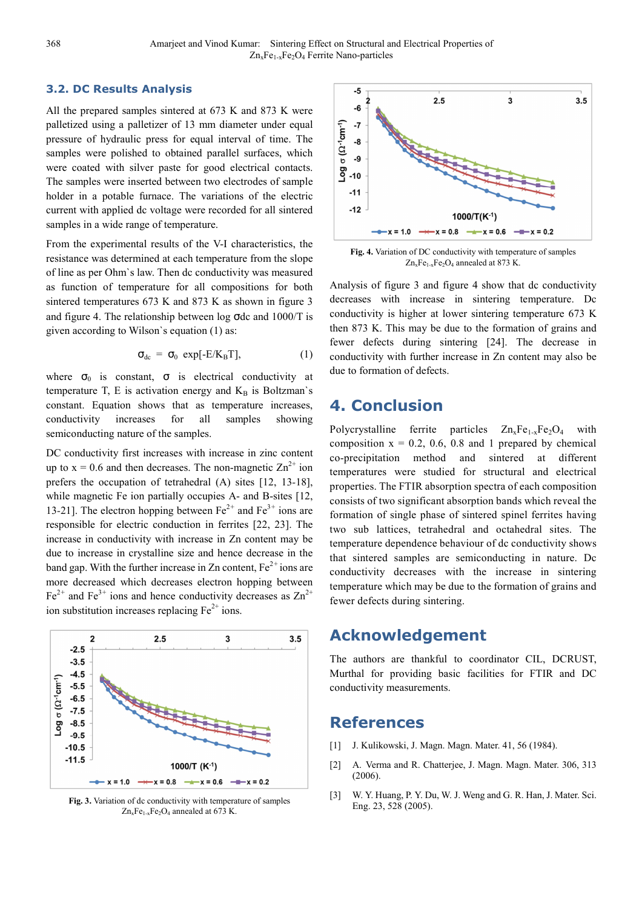#### **3.2. DC Results Analysis**

All the prepared samples sintered at 673 K and 873 K were palletized using a palletizer of 13 mm diameter under equal pressure of hydraulic press for equal interval of time. The samples were polished to obtained parallel surfaces, which were coated with silver paste for good electrical contacts. The samples were inserted between two electrodes of sample holder in a potable furnace. The variations of the electric current with applied dc voltage were recorded for all sintered samples in a wide range of temperature.

From the experimental results of the V-I characteristics, the resistance was determined at each temperature from the slope of line as per Ohm`s law. Then dc conductivity was measured as function of temperature for all compositions for both sintered temperatures 673 K and 873 K as shown in figure 3 and figure 4. The relationship between log σdc and 1000/T is given according to Wilson`s equation (1) as:

$$
\sigma_{dc} = \sigma_0 \exp[-E/K_B T], \qquad (1)
$$

where  $\sigma_0$  is constant,  $\sigma$  is electrical conductivity at temperature T, E is activation energy and  $K_B$  is Boltzman's constant. Equation shows that as temperature increases, conductivity increases for all samples showing semiconducting nature of the samples.

DC conductivity first increases with increase in zinc content up to  $x = 0.6$  and then decreases. The non-magnetic  $Zn^{2+}$  ion prefers the occupation of tetrahedral (A) sites [12, 13*-*18], while magnetic Fe ion partially occupies A- and B-sites [12, 13-21]. The electron hopping between  $Fe^{2+}$  and  $Fe^{3+}$  ions are responsible for electric conduction in ferrites [22, 23]. The increase in conductivity with increase in Zn content may be due to increase in crystalline size and hence decrease in the band gap. With the further increase in Zn content,  $Fe<sup>2+</sup>$  ions are more decreased which decreases electron hopping between  $Fe^{2+}$  and  $Fe^{3+}$  ions and hence conductivity decreases as  $Zn^{2+}$ ion substitution increases replacing  $Fe<sup>2+</sup>$  ions.



**Fig. 3.** Variation of dc conductivity with temperature of samples  $Zn_xFe_{1-x}Fe_2O_4$  annealed at 673 K.



**Fig. 4.** Variation of DC conductivity with temperature of samples  $Zn_xFe_{1-x}Fe_2O_4$  annealed at 873 K.

Analysis of figure 3 and figure 4 show that dc conductivity decreases with increase in sintering temperature. Dc conductivity is higher at lower sintering temperature 673 K then 873 K. This may be due to the formation of grains and fewer defects during sintering [24]. The decrease in conductivity with further increase in Zn content may also be due to formation of defects.

### **4. Conclusion**

Polycrystalline ferrite particles  $Zn_xFe_{1-x}Fe_2O_4$  with composition  $x = 0.2, 0.6, 0.8$  and 1 prepared by chemical co-precipitation method and sintered at different temperatures were studied for structural and electrical properties. The FTIR absorption spectra of each composition consists of two significant absorption bands which reveal the formation of single phase of sintered spinel ferrites having two sub lattices, tetrahedral and octahedral sites. The temperature dependence behaviour of dc conductivity shows that sintered samples are semiconducting in nature. Dc conductivity decreases with the increase in sintering temperature which may be due to the formation of grains and fewer defects during sintering.

## **Acknowledgement**

The authors are thankful to coordinator CIL, DCRUST, Murthal for providing basic facilities for FTIR and DC conductivity measurements.

#### **References**

- [1] J. Kulikowski, J. Magn. Magn. Mater. 41, 56 (1984).
- [2] A. Verma and R. Chatterjee, J. Magn. Magn. Mater. 306, 313 (2006).
- [3] W. Y. Huang, P. Y. Du, W. J. Weng and G. R. Han, J. Mater. Sci. Eng. 23, 528 (2005).